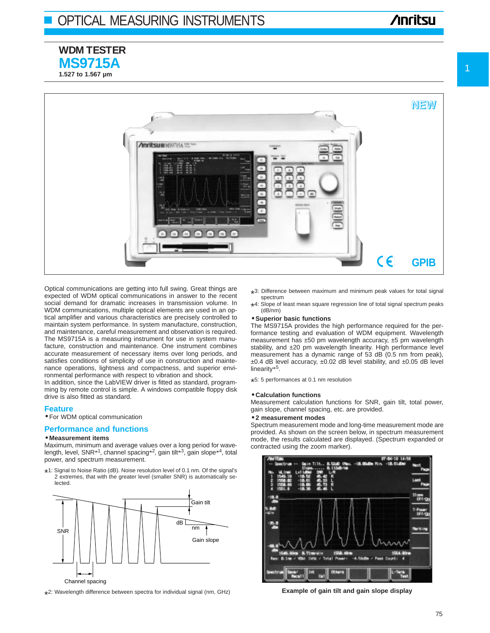**WDM TESTER MS9715A 1.527 to 1.567 µm**

# **Anritsu**



Optical communications are getting into full swing. Great things are expected of WDM optical communications in answer to the recent social demand for dramatic increases in transmission volume. In WDM communications, multiple optical elements are used in an optical amplifier and various characteristics are precisely controlled to maintain system performance. In system manufacture, construction, and maintenance, careful measurement and observation is required. The MS9715A is a measuring instrument for use in system manufacture, construction and maintenance. One instrument combines accurate measurement of necessary items over long periods, and satisfies conditions of simplicity of use in construction and maintenance operations, lightness and compactness, and superior environmental performance with respect to vibration and shock.

In addition, since the LabVIEW driver is fitted as standard, programming by remote control is simple. A windows compatible floppy disk drive is also fitted as standard.

# **Feature**

• For WDM optical communication

# **Performance and functions**

# • **Measurement items**

Maximum, minimum and average values over a long period for wavelength, level, SNR<sup>\*1</sup>, channel spacing<sup>\*2</sup>, gain tilt<sup>\*3</sup>, gain slope<sup>\*4</sup>, total power, and spectrum measurement.

\* 1: Signal to Noise Ratio (dB). Noise resolution level of 0.1 nm. Of the signal's 2 extremes, that with the greater level (smaller SNR) is automatically selected.



\* 2: Wavelength difference between spectra for individual signal (nm, GHz)

- \* 3: Difference between maximum and minimum peak values for total signal spectrum
- \* 4: Slope of least mean square regression line of total signal spectrum peaks (dB/nm)

## • **Superior basic functions**

The MS9715A provides the high performance required for the performance testing and evaluation of WDM equipment. Wavelength measurement has ±50 pm wavelength accuracy, ±5 pm wavelength stability, and ±20 pm wavelength linearity. High performance level measurement has a dynamic range of 53 dB (0.5 nm from peak), ±0.4 dB level accuracy, ±0.02 dB level stability, and ±0.05 dB level linearity\*5.

\* 5: 5 performances at 0.1 nm resolution

### • **Calculation functions**

Measurement calculation functions for SNR, gain tilt, total power, gain slope, channel spacing, etc. are provided.

# • **2 measurement modes**

Spectrum measurement mode and long-time measurement mode are provided. As shown on the screen below, in spectrum measurement mode, the results calculated are displayed. (Spectrum expanded or contracted using the zoom marker).



**Example of gain tilt and gain slope display**